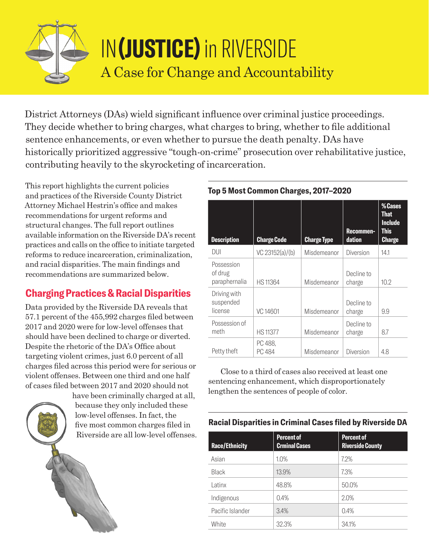

# IN**(JUSTICE)** in RIVERSIDE A Case for Change and Accountability

District Attorneys (DAs) wield significant influence over criminal justice proceedings. They decide whether to bring charges, what charges to bring, whether to file additional sentence enhancements, or even whether to pursue the death penalty. DAs have historically prioritized aggressive "tough-on-crime" prosecution over rehabilitative justice, contributing heavily to the skyrocketing of incarceration.

This report highlights the current policies and practices of the Riverside County District Attorney Michael Hestrin's office and makes recommendations for urgent reforms and structural changes. The full report outlines available information on the Riverside DA's recent practices and calls on the office to initiate targeted reforms to reduce incarceration, criminalization, and racial disparities. The main findings and recommendations are summarized below.

## **Charging Practices & Racial Disparities**

Data provided by the Riverside DA reveals that 57.1 percent of the 455,992 charges filed between 2017 and 2020 were for low-level offenses that should have been declined to charge or diverted. Despite the rhetoric of the DA's Office about targeting violent crimes, just 6.0 percent of all charges filed across this period were for serious or violent offenses. Between one third and one half of cases filed between 2017 and 2020 should not

> have been criminally charged at all, because they only included these low-level offenses. In fact, the five most common charges filed in Riverside are all low-level offenses.

| <b>Description</b>                     | <b>Charge Code</b> | <b>Charge Type</b> | Recommen-<br>dation  | % Cases<br><b>That</b><br><b>Include</b><br><b>This</b><br><b>Charge</b> |
|----------------------------------------|--------------------|--------------------|----------------------|--------------------------------------------------------------------------|
| DUI                                    | VC 23152(a)/(b)    | Misdemeanor        | Diversion            | 14.1                                                                     |
| Possession<br>of drug<br>paraphernalia | HS 11364           | Misdemeanor        | Decline to<br>charge | 10.2                                                                     |
| Driving with<br>suspended<br>license   | VC 14601           | Misdemeanor        | Decline to<br>charge | 9.9                                                                      |
| Possession of<br>meth                  | <b>HS11377</b>     | Misdemeanor        | Decline to<br>charge | 8.7                                                                      |
| Petty theft                            | PC 488,<br>PC 484  | Misdemeanor        | Diversion            | 4.8                                                                      |

#### **Top 5 Most Common Charges, 2017–2020**

Close to a third of cases also received at least one sentencing enhancement, which disproportionately lengthen the sentences of people of color.

#### **Racial Disparities in Criminal Cases filed by Riverside DA**

| <b>Race/Ethnicity</b> | <b>Percent of</b><br><b>Crminal Cases</b> | <b>Percent of</b><br><b>Riverside County</b> |
|-----------------------|-------------------------------------------|----------------------------------------------|
| Asian                 | 1.0%                                      | 7.2%                                         |
| Black                 | 13.9%                                     | 7.3%                                         |
| Latinx                | 48.8%                                     | 50.0%                                        |
| Indigenous            | 0.4%                                      | 2.0%                                         |
| Pacific Islander      | 3.4%                                      | 0.4%                                         |
| White                 | 32.3%                                     | 34.1%                                        |